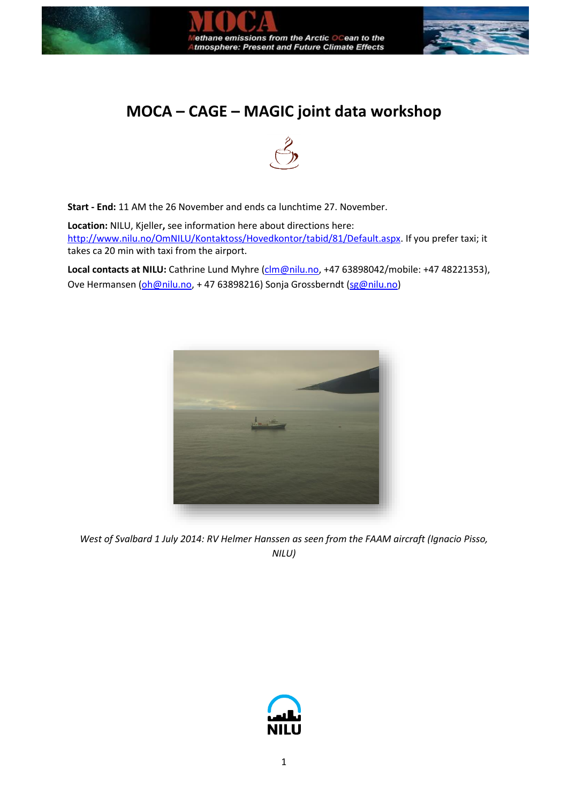

## **MOCA – CAGE – MAGIC joint data workshop**



**Start - End:** 11 AM the 26 November and ends ca lunchtime 27. November.

**Location:** NILU, Kjeller**,** see information here about directions here: [http://www.nilu.no/OmNILU/Kontaktoss/Hovedkontor/tabid/81/Default.aspx.](http://www.nilu.no/OmNILU/Kontaktoss/Hovedkontor/tabid/81/Default.aspx) If you prefer taxi; it takes ca 20 min with taxi from the airport.

Local contacts at NILU: Cathrine Lund Myhre [\(clm@nilu.no,](mailto:clm@nilu.no) +47 63898042/mobile: +47 48221353), Ove Hermansen [\(oh@nilu.no,](mailto:oh@nilu.no) +47 63898216) Sonja Grossberndt [\(sg@nilu.no\)](mailto:sg@nilu.no)



*West of Svalbard 1 July 2014: RV Helmer Hanssen as seen from the FAAM aircraft (Ignacio Pisso, NILU)*

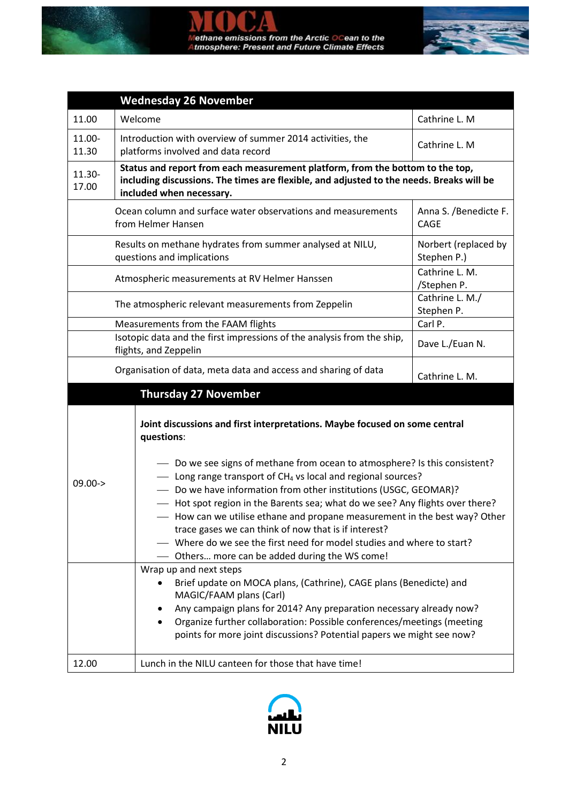



|                                                                                                                                                                                                                                                                                                                                                                                                                                                                                                                                                                                                                                                                                                                                                                                                                                                                                                                                                                                                                                                        | <b>Wednesday 26 November</b>                                                                                                                                                                          |                               |  |
|--------------------------------------------------------------------------------------------------------------------------------------------------------------------------------------------------------------------------------------------------------------------------------------------------------------------------------------------------------------------------------------------------------------------------------------------------------------------------------------------------------------------------------------------------------------------------------------------------------------------------------------------------------------------------------------------------------------------------------------------------------------------------------------------------------------------------------------------------------------------------------------------------------------------------------------------------------------------------------------------------------------------------------------------------------|-------------------------------------------------------------------------------------------------------------------------------------------------------------------------------------------------------|-------------------------------|--|
| 11.00                                                                                                                                                                                                                                                                                                                                                                                                                                                                                                                                                                                                                                                                                                                                                                                                                                                                                                                                                                                                                                                  | Welcome                                                                                                                                                                                               | Cathrine L. M                 |  |
| 11.00-<br>11.30                                                                                                                                                                                                                                                                                                                                                                                                                                                                                                                                                                                                                                                                                                                                                                                                                                                                                                                                                                                                                                        | Introduction with overview of summer 2014 activities, the<br>platforms involved and data record                                                                                                       | Cathrine L. M                 |  |
| 11.30-<br>17.00                                                                                                                                                                                                                                                                                                                                                                                                                                                                                                                                                                                                                                                                                                                                                                                                                                                                                                                                                                                                                                        | Status and report from each measurement platform, from the bottom to the top,<br>including discussions. The times are flexible, and adjusted to the needs. Breaks will be<br>included when necessary. |                               |  |
| Ocean column and surface water observations and measurements<br>Anna S. /Benedicte F.<br>from Helmer Hansen<br>CAGF                                                                                                                                                                                                                                                                                                                                                                                                                                                                                                                                                                                                                                                                                                                                                                                                                                                                                                                                    |                                                                                                                                                                                                       |                               |  |
| Results on methane hydrates from summer analysed at NILU,<br>questions and implications<br>Stephen P.)                                                                                                                                                                                                                                                                                                                                                                                                                                                                                                                                                                                                                                                                                                                                                                                                                                                                                                                                                 |                                                                                                                                                                                                       | Norbert (replaced by          |  |
| Atmospheric measurements at RV Helmer Hanssen                                                                                                                                                                                                                                                                                                                                                                                                                                                                                                                                                                                                                                                                                                                                                                                                                                                                                                                                                                                                          |                                                                                                                                                                                                       | Cathrine L. M.<br>/Stephen P. |  |
|                                                                                                                                                                                                                                                                                                                                                                                                                                                                                                                                                                                                                                                                                                                                                                                                                                                                                                                                                                                                                                                        | The atmospheric relevant measurements from Zeppelin                                                                                                                                                   | Cathrine L. M./<br>Stephen P. |  |
|                                                                                                                                                                                                                                                                                                                                                                                                                                                                                                                                                                                                                                                                                                                                                                                                                                                                                                                                                                                                                                                        | Measurements from the FAAM flights                                                                                                                                                                    | Carl P.                       |  |
|                                                                                                                                                                                                                                                                                                                                                                                                                                                                                                                                                                                                                                                                                                                                                                                                                                                                                                                                                                                                                                                        | Isotopic data and the first impressions of the analysis from the ship,<br>flights, and Zeppelin                                                                                                       | Dave L./Euan N.               |  |
|                                                                                                                                                                                                                                                                                                                                                                                                                                                                                                                                                                                                                                                                                                                                                                                                                                                                                                                                                                                                                                                        | Organisation of data, meta data and access and sharing of data<br><b>Thursday 27 November</b>                                                                                                         | Cathrine L. M.                |  |
| Joint discussions and first interpretations. Maybe focused on some central<br>questions:<br>- Do we see signs of methane from ocean to atmosphere? Is this consistent?<br>- Long range transport of CH <sub>4</sub> vs local and regional sources?<br>$09.00 -$<br>- Do we have information from other institutions (USGC, GEOMAR)?<br>- Hot spot region in the Barents sea; what do we see? Any flights over there?<br>- How can we utilise ethane and propane measurement in the best way? Other<br>trace gases we can think of now that is if interest?<br>Where do we see the first need for model studies and where to start?<br>- Others more can be added during the WS come!<br>Wrap up and next steps<br>Brief update on MOCA plans, (Cathrine), CAGE plans (Benedicte) and<br>MAGIC/FAAM plans (Carl)<br>Any campaign plans for 2014? Any preparation necessary already now?<br>Organize further collaboration: Possible conferences/meetings (meeting<br>$\bullet$<br>points for more joint discussions? Potential papers we might see now? |                                                                                                                                                                                                       |                               |  |
| 12.00                                                                                                                                                                                                                                                                                                                                                                                                                                                                                                                                                                                                                                                                                                                                                                                                                                                                                                                                                                                                                                                  | Lunch in the NILU canteen for those that have time!                                                                                                                                                   |                               |  |